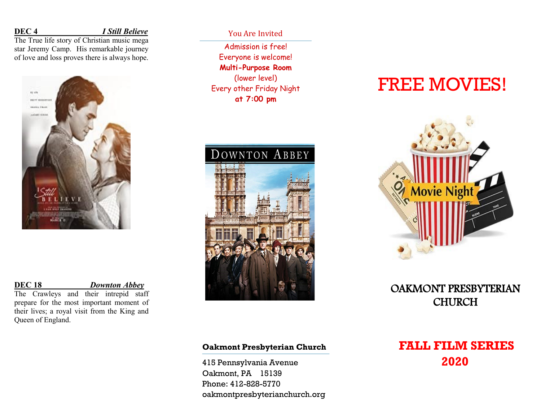**DEC 4** *I Still Believe*

The True life story of Christian music mega star Jeremy Camp. His remarkable journey of love and loss proves there is always hope.



## **DEC 18** *Downton Abbey*

The Crawleys and their intrepid staff prepare for the most important moment of their lives; a royal visit from the King and Queen of England.

You Are Invited

Admission is free! Everyone is welcome! **Multi-Purpose Room** (lower level) Every other Friday Night **at 7:00 pm**



### **Oakmont Presbyterian Church**

415 Pennsylvania Avenue Oakmont, PA 15139 Phone: 412-828-5770 oakmontpresbyterianchurch.org

# FREE MOVIES!



OAKMONT PRESBYTERIAN **CHURCH** 

# **FALL FILM SERIES 2020**